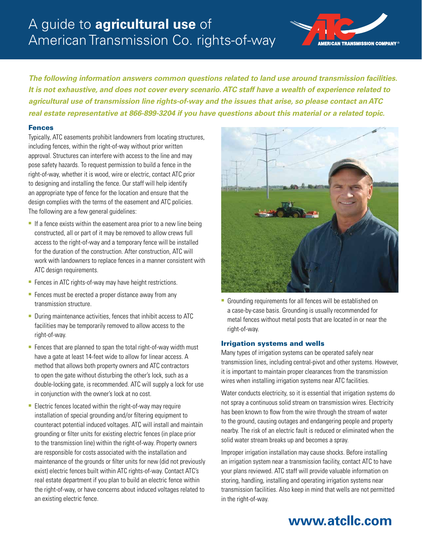# A guide to **agricultural use** of American Transmission Co. rights-of-way



*The following information answers common questions related to land use around transmission facilities. It is not exhaustive, and does not cover every scenario. ATC staff have a wealth of experience related to agricultural use of transmission line rights-of-way and the issues that arise, so please contact an ATC real estate representative at 866-899-3204 if you have questions about this material or a related topic.*

#### Fences

Typically, ATC easements prohibit landowners from locating structures, including fences, within the right-of-way without prior written approval. Structures can interfere with access to the line and may pose safety hazards. To request permission to build a fence in the right-of-way, whether it is wood, wire or electric, contact ATC prior to designing and installing the fence. Our staff will help identify an appropriate type of fence for the location and ensure that the design complies with the terms of the easement and ATC policies. The following are a few general guidelines:

- $\blacksquare$  If a fence exists within the easement area prior to a new line being constructed, all or part of it may be removed to allow crews full access to the right-of-way and a temporary fence will be installed for the duration of the construction. After construction, ATC will work with landowners to replace fences in a manner consistent with ATC design requirements.
- Fences in ATC rights-of-way may have height restrictions.
- Fences must be erected a proper distance away from any transmission structure.
- During maintenance activities, fences that inhibit access to ATC facilities may be temporarily removed to allow access to the right-of-way.
- $\blacksquare$  Fences that are planned to span the total right-of-way width must have a gate at least 14-feet wide to allow for linear access. A method that allows both property owners and ATC contractors to open the gate without disturbing the other's lock, such as a double-locking gate, is recommended. ATC will supply a lock for use in conjunction with the owner's lock at no cost.
- $\blacksquare$  Electric fences located within the right-of-way may require installation of special grounding and/or filtering equipment to counteract potential induced voltages. ATC will install and maintain grounding or filter units for existing electric fences (in place prior to the transmission line) within the right-of-way. Property owners are responsible for costs associated with the installation and maintenance of the grounds or filter units for new (did not previously exist) electric fences built within ATC rights-of-way. Contact ATC's real estate department if you plan to build an electric fence within the right-of-way, or have concerns about induced voltages related to an existing electric fence.



**Grounding requirements for all fences will be established on** a case-by-case basis. Grounding is usually recommended for metal fences without metal posts that are located in or near the right-of-way.

#### Irrigation systems and wells

Many types of irrigation systems can be operated safely near transmission lines, including central-pivot and other systems. However, it is important to maintain proper clearances from the transmission wires when installing irrigation systems near ATC facilities.

Water conducts electricity, so it is essential that irrigation systems do not spray a continuous solid stream on transmission wires. Electricity has been known to flow from the wire through the stream of water to the ground, causing outages and endangering people and property nearby. The risk of an electric fault is reduced or eliminated when the solid water stream breaks up and becomes a spray.

Improper irrigation installation may cause shocks. Before installing an irrigation system near a transmission facility, contact ATC to have your plans reviewed. ATC staff will provide valuable information on storing, handling, installing and operating irrigation systems near transmission facilities. Also keep in mind that wells are not permitted in the right-of-way.

## **<www.atcllc.com>**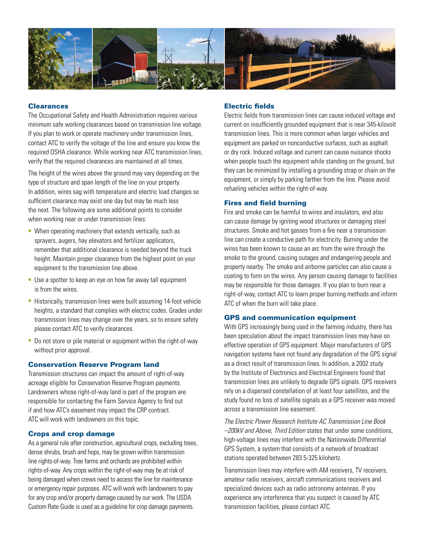

#### **Clearances**

The Occupational Safety and Health Administration requires various minimum safe working clearances based on transmission line voltage. If you plan to work or operate machinery under transmission lines, contact ATC to verify the voltage of the line and ensure you know the required OSHA clearance. While working near ATC transmission lines, verify that the required clearances are maintained at all times.

The height of the wires above the ground may vary depending on the type of structure and span length of the line on your property. In addition, wires sag with temperature and electric load changes so sufficient clearance may exist one day but may be much less the next. The following are some additional points to consider when working near or under transmission lines:

- $\blacksquare$  When operating machinery that extends vertically, such as sprayers, augers, hay elevators and fertilizer applicators, remember that additional clearance is needed beyond the truck height. Maintain proper clearance from the highest point on your equipment to the transmission line above.
- Use a spotter to keep an eye on how far away tall equipment is from the wires.
- Historically, transmission lines were built assuming 14-foot vehicle heights, a standard that complies with electric codes. Grades under transmission lines may change over the years, so to ensure safety please contact ATC to verify clearances.
- Do not store or pile material or equipment within the right-of-way without prior approval.

#### Conservation Reserve Program land

Transmission structures can impact the amount of right-of-way acreage eligible for Conservation Reserve Program payments. Landowners whose right-of-way land is part of the program are responsible for contacting the Farm Service Agency to find out if and how ATC's easement may impact the CRP contract. ATC will work with landowners on this topic.

#### Crops and crop damage

As a general rule after construction, agricultural crops, excluding trees, dense shrubs, brush and hops, may be grown within transmission line rights-of-way. Tree farms and orchards are prohibited within rights-of-way. Any crops within the right-of-way may be at risk of being damaged when crews need to access the line for maintenance or emergency repair purposes. ATC will work with landowners to pay for any crop and/or property damage caused by our work. The USDA Custom Rate Guide is used as a guideline for crop damage payments.

#### Electric fields

Electric fields from transmission lines can cause induced voltage and current on insufficiently grounded equipment that is near 345-kilovolt transmission lines. This is more common when larger vehicles and equipment are parked on nonconductive surfaces, such as asphalt or dry rock. Induced voltage and current can cause nuisance shocks when people touch the equipment while standing on the ground, but they can be minimized by installing a grounding strap or chain on the equipment, or simply by parking farther from the line. Please avoid refueling vehicles within the right-of-way.

#### Fires and field burning

Fire and smoke can be harmful to wires and insulators, and also can cause damage by igniting wood structures or damaging steel structures. Smoke and hot gasses from a fire near a transmission line can create a conductive path for electricity. Burning under the wires has been known to cause an arc from the wire through the smoke to the ground, causing outages and endangering people and property nearby. The smoke and airborne particles can also cause a coating to form on the wires. Any person causing damage to facilities may be responsible for those damages. If you plan to burn near a right-of-way, contact ATC to learn proper burning methods and inform ATC of when the burn will take place.

#### GPS and communication equipment

With GPS increasingly being used in the farming industry, there has been speculation about the impact transmission lines may have on effective operation of GPS equipment. Major manufacturers of GPS navigation systems have not found any degradation of the GPS signal as a direct result of transmission lines. In addition, a 2002 study by the Institute of Electronics and Electrical Engineers found that transmission lines are unlikely to degrade GPS signals. GPS receivers rely on a dispersed constellation of at least four satellites, and the study found no loss of satellite signals as a GPS receiver was moved across a transmission line easement.

*The Electric Power Research Institute AC Transmission Line Book –200kV and Above, Third Edition* states that under some conditions, high-voltage lines may interfere with the Nationwide Differential GPS System, a system that consists of a network of broadcast stations operated between 283.5-325 kilohertz.

Transmission lines may interfere with AM receivers, TV receivers, amateur radio receivers, aircraft communications receivers and specialized devices such as radio astronomy antennas. If you experience any interference that you suspect is caused by ATC transmission facilities, please contact ATC.